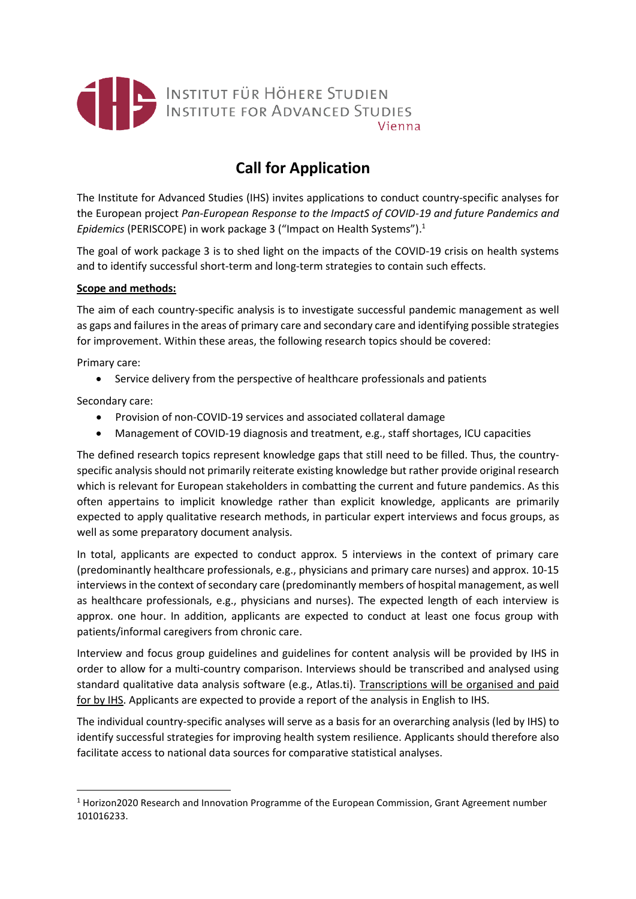

# **Call for Application**

The Institute for Advanced Studies (IHS) invites applications to conduct country-specific analyses for the European project *Pan-European Response to the ImpactS of COVID-19 and future Pandemics and Epidemics* (PERISCOPE) in work package 3 ("Impact on Health Systems"). 1

The goal of work package 3 is to shed light on the impacts of the COVID-19 crisis on health systems and to identify successful short-term and long-term strategies to contain such effects.

## **Scope and methods:**

The aim of each country-specific analysis is to investigate successful pandemic management as well as gaps and failures in the areas of primary care and secondary care and identifying possible strategies for improvement. Within these areas, the following research topics should be covered:

Primary care:

• Service delivery from the perspective of healthcare professionals and patients

Secondary care:

- Provision of non-COVID-19 services and associated collateral damage
- Management of COVID-19 diagnosis and treatment, e.g., staff shortages, ICU capacities

The defined research topics represent knowledge gaps that still need to be filled. Thus, the countryspecific analysis should not primarily reiterate existing knowledge but rather provide original research which is relevant for European stakeholders in combatting the current and future pandemics. As this often appertains to implicit knowledge rather than explicit knowledge, applicants are primarily expected to apply qualitative research methods, in particular expert interviews and focus groups, as well as some preparatory document analysis.

In total, applicants are expected to conduct approx. 5 interviews in the context of primary care (predominantly healthcare professionals, e.g., physicians and primary care nurses) and approx. 10-15 interviews in the context of secondary care (predominantly members of hospital management, as well as healthcare professionals, e.g., physicians and nurses). The expected length of each interview is approx. one hour. In addition, applicants are expected to conduct at least one focus group with patients/informal caregivers from chronic care.

Interview and focus group guidelines and guidelines for content analysis will be provided by IHS in order to allow for a multi-country comparison. Interviews should be transcribed and analysed using standard qualitative data analysis software (e.g., Atlas.ti). Transcriptions will be organised and paid for by IHS. Applicants are expected to provide a report of the analysis in English to IHS.

The individual country-specific analyses will serve as a basis for an overarching analysis (led by IHS) to identify successful strategies for improving health system resilience. Applicants should therefore also facilitate access to national data sources for comparative statistical analyses.

 $1$  Horizon2020 Research and Innovation Programme of the European Commission, Grant Agreement number 101016233.